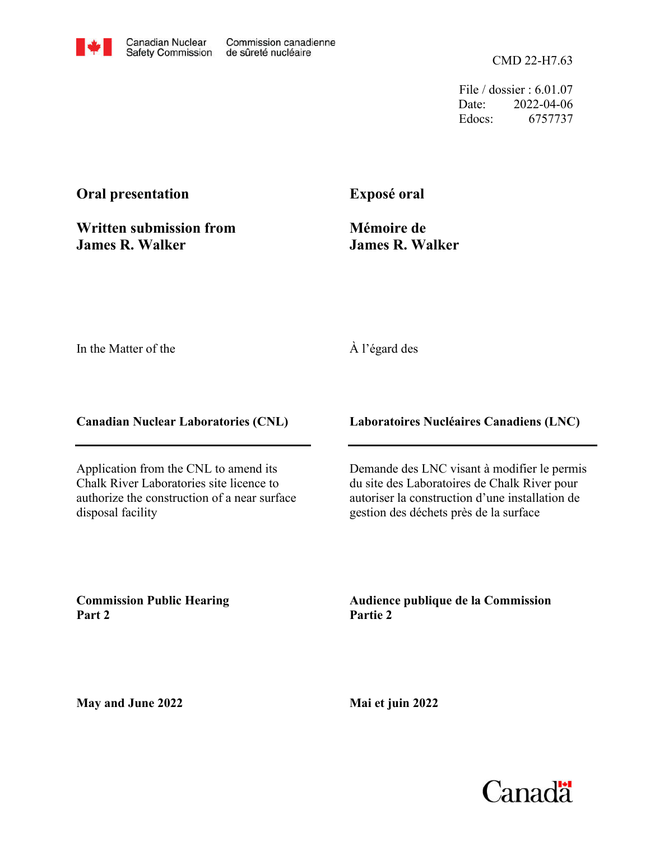CMD 22-H7.63

File / dossier : 6.01.07 Date: 2022-04-06 Edocs: 6757737

# **Oral presentation**

**Written submission from James R. Walker**

# **Exposé oral**

**Mémoire de James R. Walker**

In the Matter of the

## À l'égard des

**Canadian Nuclear Laboratories (CNL)**

Application from the CNL to amend its Chalk River Laboratories site licence to authorize the construction of a near surface disposal facility

**Laboratoires Nucléaires Canadiens (LNC)**

Demande des LNC visant à modifier le permis du site des Laboratoires de Chalk River pour autoriser la construction d'une installation de gestion des déchets près de la surface

**Commission Public Hearing Part 2**

**Audience publique de la Commission Partie 2**

**May and June 2022**

**Mai et juin 2022**

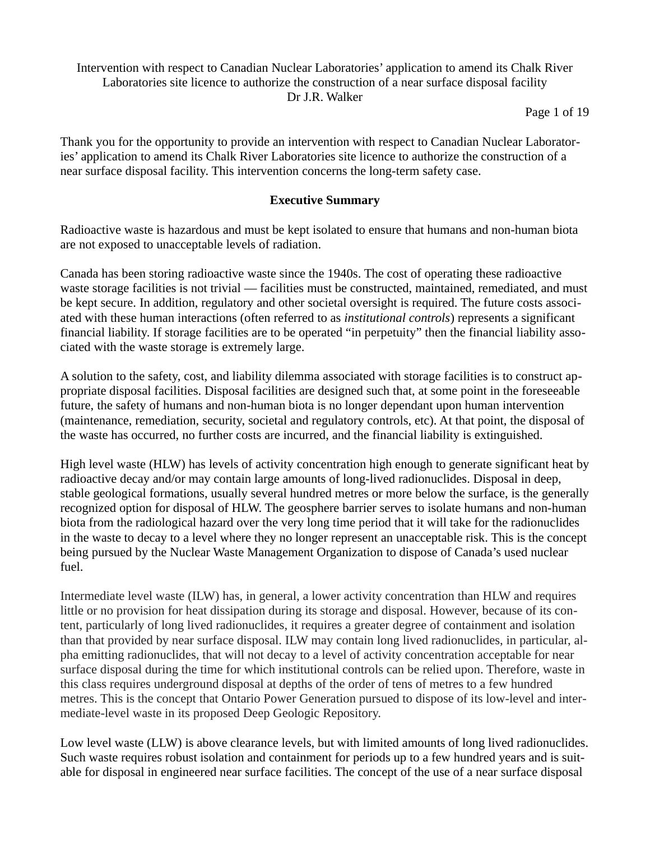## Intervention with respect to Canadian Nuclear Laboratories' application to amend its Chalk River Laboratories site licence to authorize the construction of a near surface disposal facility Dr J.R. Walker

Page 1 of 19

Thank you for the opportunity to provide an intervention with respect to Canadian Nuclear Laboratories' application to amend its Chalk River Laboratories site licence to authorize the construction of a near surface disposal facility. This intervention concerns the long-term safety case.

## **Executive Summary**

Radioactive waste is hazardous and must be kept isolated to ensure that humans and non-human biota are not exposed to unacceptable levels of radiation.

Canada has been storing radioactive waste since the 1940s. The cost of operating these radioactive waste storage facilities is not trivial — facilities must be constructed, maintained, remediated, and must be kept secure. In addition, regulatory and other societal oversight is required. The future costs associated with these human interactions (often referred to as *institutional controls*) represents a significant financial liability. If storage facilities are to be operated "in perpetuity" then the financial liability associated with the waste storage is extremely large.

A solution to the safety, cost, and liability dilemma associated with storage facilities is to construct appropriate disposal facilities. Disposal facilities are designed such that, at some point in the foreseeable future, the safety of humans and non-human biota is no longer dependant upon human intervention (maintenance, remediation, security, societal and regulatory controls, etc). At that point, the disposal of the waste has occurred, no further costs are incurred, and the financial liability is extinguished.

High level waste (HLW) has levels of activity concentration high enough to generate significant heat by radioactive decay and/or may contain large amounts of long-lived radionuclides. Disposal in deep, stable geological formations, usually several hundred metres or more below the surface, is the generally recognized option for disposal of HLW. The geosphere barrier serves to isolate humans and non-human biota from the radiological hazard over the very long time period that it will take for the radionuclides in the waste to decay to a level where they no longer represent an unacceptable risk. This is the concept being pursued by the Nuclear Waste Management Organization to dispose of Canada's used nuclear fuel.

Intermediate level waste (ILW) has, in general, a lower activity concentration than HLW and requires little or no provision for heat dissipation during its storage and disposal. However, because of its content, particularly of long lived radionuclides, it requires a greater degree of containment and isolation than that provided by near surface disposal. ILW may contain long lived radionuclides, in particular, alpha emitting radionuclides, that will not decay to a level of activity concentration acceptable for near surface disposal during the time for which institutional controls can be relied upon. Therefore, waste in this class requires underground disposal at depths of the order of tens of metres to a few hundred metres. This is the concept that Ontario Power Generation pursued to dispose of its low-level and intermediate-level waste in its proposed Deep Geologic Repository.

Low level waste (LLW) is above clearance levels, but with limited amounts of long lived radionuclides. Such waste requires robust isolation and containment for periods up to a few hundred years and is suitable for disposal in engineered near surface facilities. The concept of the use of a near surface disposal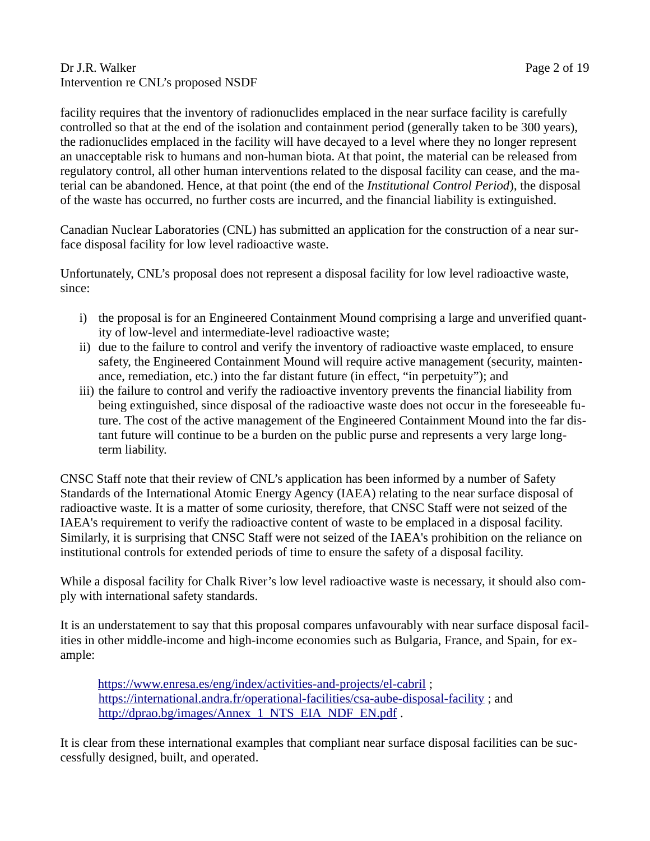#### Dr J.R. Walker Page 2 of 19 Intervention re CNL's proposed NSDF

facility requires that the inventory of radionuclides emplaced in the near surface facility is carefully controlled so that at the end of the isolation and containment period (generally taken to be 300 years), the radionuclides emplaced in the facility will have decayed to a level where they no longer represent an unacceptable risk to humans and non-human biota. At that point, the material can be released from regulatory control, all other human interventions related to the disposal facility can cease, and the material can be abandoned. Hence, at that point (the end of the *Institutional Control Period*), the disposal of the waste has occurred, no further costs are incurred, and the financial liability is extinguished.

Canadian Nuclear Laboratories (CNL) has submitted an application for the construction of a near surface disposal facility for low level radioactive waste.

Unfortunately, CNL's proposal does not represent a disposal facility for low level radioactive waste, since:

- i) the proposal is for an Engineered Containment Mound comprising a large and unverified quantity of low-level and intermediate-level radioactive waste;
- ii) due to the failure to control and verify the inventory of radioactive waste emplaced, to ensure safety, the Engineered Containment Mound will require active management (security, maintenance, remediation, etc.) into the far distant future (in effect, "in perpetuity"); and
- iii) the failure to control and verify the radioactive inventory prevents the financial liability from being extinguished, since disposal of the radioactive waste does not occur in the foreseeable future. The cost of the active management of the Engineered Containment Mound into the far distant future will continue to be a burden on the public purse and represents a very large longterm liability.

CNSC Staff note that their review of CNL's application has been informed by a number of Safety Standards of the International Atomic Energy Agency (IAEA) relating to the near surface disposal of radioactive waste. It is a matter of some curiosity, therefore, that CNSC Staff were not seized of the IAEA's requirement to verify the radioactive content of waste to be emplaced in a disposal facility. Similarly, it is surprising that CNSC Staff were not seized of the IAEA's prohibition on the reliance on institutional controls for extended periods of time to ensure the safety of a disposal facility.

While a disposal facility for Chalk River's low level radioactive waste is necessary, it should also comply with international safety standards.

It is an understatement to say that this proposal compares unfavourably with near surface disposal facilities in other middle-income and high-income economies such as Bulgaria, France, and Spain, for example:

<https://www.enresa.es/eng/index/activities-and-projects/el-cabril> ; <https://international.andra.fr/operational-facilities/csa-aube-disposal-facility>; and [http://dprao.bg/images/Annex\\_1\\_NTS\\_EIA\\_NDF\\_EN.pdf](http://dprao.bg/images/Annex_1_NTS_EIA_NDF_EN.pdf) .

It is clear from these international examples that compliant near surface disposal facilities can be successfully designed, built, and operated.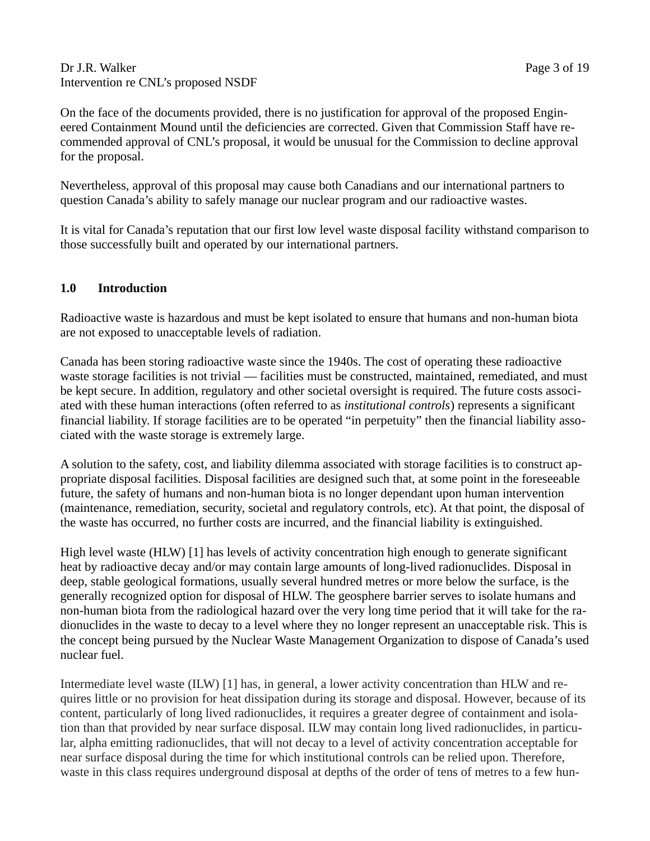#### Dr J.R. Walker Page 3 of 19 Intervention re CNL's proposed NSDF

On the face of the documents provided, there is no justification for approval of the proposed Engineered Containment Mound until the deficiencies are corrected. Given that Commission Staff have recommended approval of CNL's proposal, it would be unusual for the Commission to decline approval for the proposal.

Nevertheless, approval of this proposal may cause both Canadians and our international partners to question Canada's ability to safely manage our nuclear program and our radioactive wastes.

It is vital for Canada's reputation that our first low level waste disposal facility withstand comparison to those successfully built and operated by our international partners.

## **1.0 Introduction**

Radioactive waste is hazardous and must be kept isolated to ensure that humans and non-human biota are not exposed to unacceptable levels of radiation.

Canada has been storing radioactive waste since the 1940s. The cost of operating these radioactive waste storage facilities is not trivial — facilities must be constructed, maintained, remediated, and must be kept secure. In addition, regulatory and other societal oversight is required. The future costs associated with these human interactions (often referred to as *institutional controls*) represents a significant financial liability. If storage facilities are to be operated "in perpetuity" then the financial liability associated with the waste storage is extremely large.

A solution to the safety, cost, and liability dilemma associated with storage facilities is to construct appropriate disposal facilities. Disposal facilities are designed such that, at some point in the foreseeable future, the safety of humans and non-human biota is no longer dependant upon human intervention (maintenance, remediation, security, societal and regulatory controls, etc). At that point, the disposal of the waste has occurred, no further costs are incurred, and the financial liability is extinguished.

High level waste (HLW) [1] has levels of activity concentration high enough to generate significant heat by radioactive decay and/or may contain large amounts of long-lived radionuclides. Disposal in deep, stable geological formations, usually several hundred metres or more below the surface, is the generally recognized option for disposal of HLW. The geosphere barrier serves to isolate humans and non-human biota from the radiological hazard over the very long time period that it will take for the radionuclides in the waste to decay to a level where they no longer represent an unacceptable risk. This is the concept being pursued by the Nuclear Waste Management Organization to dispose of Canada's used nuclear fuel.

Intermediate level waste (ILW) [1] has, in general, a lower activity concentration than HLW and requires little or no provision for heat dissipation during its storage and disposal. However, because of its content, particularly of long lived radionuclides, it requires a greater degree of containment and isolation than that provided by near surface disposal. ILW may contain long lived radionuclides, in particular, alpha emitting radionuclides, that will not decay to a level of activity concentration acceptable for near surface disposal during the time for which institutional controls can be relied upon. Therefore, waste in this class requires underground disposal at depths of the order of tens of metres to a few hun-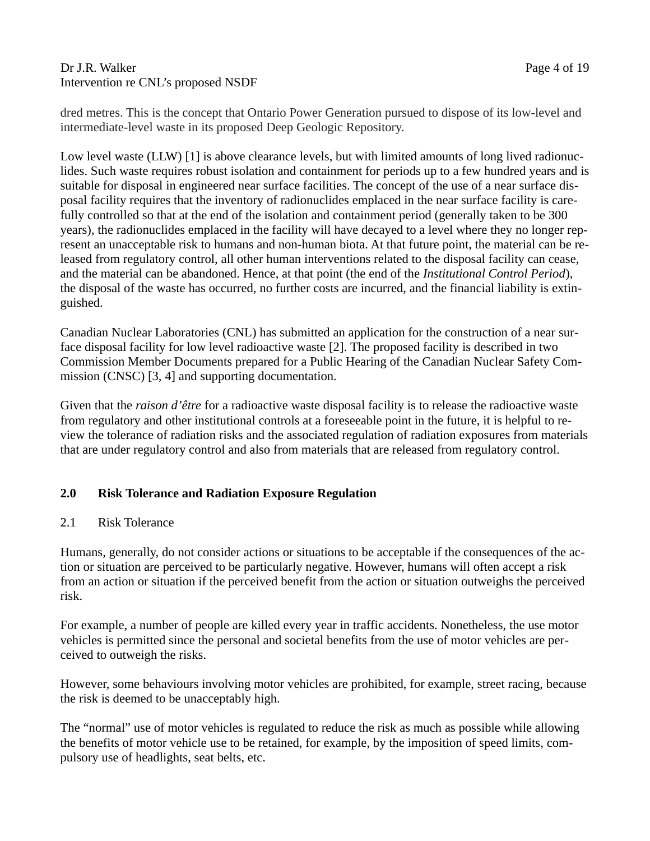#### Dr J.R. Walker Page 4 of 19 Intervention re CNL's proposed NSDF

dred metres. This is the concept that Ontario Power Generation pursued to dispose of its low-level and intermediate-level waste in its proposed Deep Geologic Repository.

Low level waste (LLW) [1] is above clearance levels, but with limited amounts of long lived radionuclides. Such waste requires robust isolation and containment for periods up to a few hundred years and is suitable for disposal in engineered near surface facilities. The concept of the use of a near surface disposal facility requires that the inventory of radionuclides emplaced in the near surface facility is carefully controlled so that at the end of the isolation and containment period (generally taken to be 300 years), the radionuclides emplaced in the facility will have decayed to a level where they no longer represent an unacceptable risk to humans and non-human biota. At that future point, the material can be released from regulatory control, all other human interventions related to the disposal facility can cease, and the material can be abandoned. Hence, at that point (the end of the *Institutional Control Period*), the disposal of the waste has occurred, no further costs are incurred, and the financial liability is extinguished.

Canadian Nuclear Laboratories (CNL) has submitted an application for the construction of a near surface disposal facility for low level radioactive waste [2]. The proposed facility is described in two Commission Member Documents prepared for a Public Hearing of the Canadian Nuclear Safety Commission (CNSC) [3, 4] and supporting documentation.

Given that the *raison d'être* for a radioactive waste disposal facility is to release the radioactive waste from regulatory and other institutional controls at a foreseeable point in the future, it is helpful to review the tolerance of radiation risks and the associated regulation of radiation exposures from materials that are under regulatory control and also from materials that are released from regulatory control.

## **2.0 Risk Tolerance and Radiation Exposure Regulation**

## 2.1 Risk Tolerance

Humans, generally, do not consider actions or situations to be acceptable if the consequences of the action or situation are perceived to be particularly negative. However, humans will often accept a risk from an action or situation if the perceived benefit from the action or situation outweighs the perceived risk.

For example, a number of people are killed every year in traffic accidents. Nonetheless, the use motor vehicles is permitted since the personal and societal benefits from the use of motor vehicles are perceived to outweigh the risks.

However, some behaviours involving motor vehicles are prohibited, for example, street racing, because the risk is deemed to be unacceptably high.

The "normal" use of motor vehicles is regulated to reduce the risk as much as possible while allowing the benefits of motor vehicle use to be retained, for example, by the imposition of speed limits, compulsory use of headlights, seat belts, etc.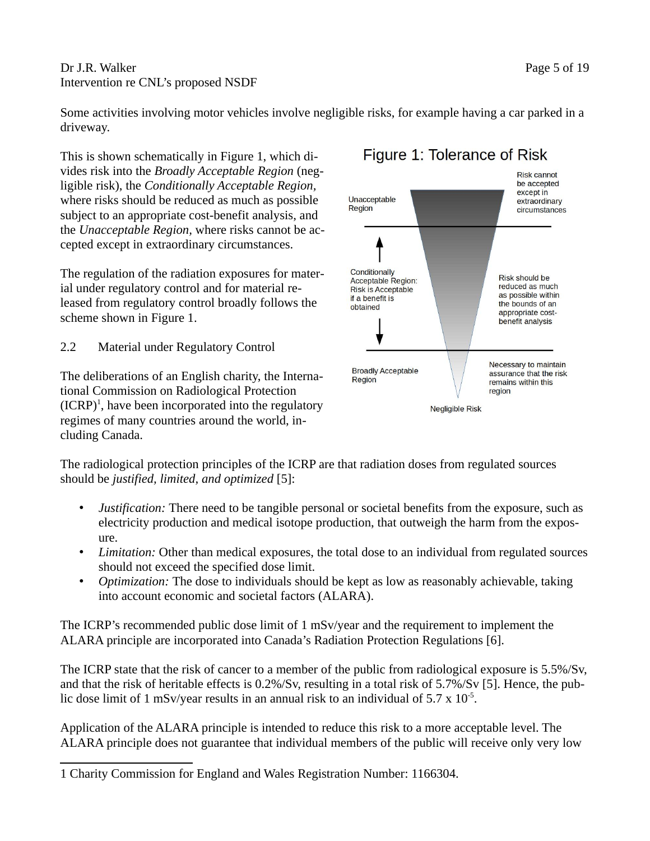Dr J.R. Walker Page 5 of 19 Intervention re CNL's proposed NSDF

Some activities involving motor vehicles involve negligible risks, for example having a car parked in a driveway.

This is shown schematically in Figure 1, which divides risk into the *Broadly Acceptable Region* (negligible risk), the *Conditionally Acceptable Region,*  where risks should be reduced as much as possible subject to an appropriate cost-benefit analysis, and the *Unacceptable Region,* where risks cannot be accepted except in extraordinary circumstances.

The regulation of the radiation exposures for material under regulatory control and for material released from regulatory control broadly follows the scheme shown in Figure 1.

2.2 Material under Regulatory Control

The deliberations of an English charity, the International Commission on Radiological Protection  $(ICRP)^1$  $(ICRP)^1$ , have been incorporated into the regulatory regimes of many countries around the world, including Canada.



# Figure 1: Tolerance of Risk

The radiological protection principles of the ICRP are that radiation doses from regulated sources should be *justified, limited, and optimized* [5]:

- *Justification:* There need to be tangible personal or societal benefits from the exposure, such as electricity production and medical isotope production, that outweigh the harm from the exposure.
- *Limitation:* Other than medical exposures, the total dose to an individual from regulated sources should not exceed the specified dose limit.
- *Optimization:* The dose to individuals should be kept as low as reasonably achievable, taking into account economic and societal factors (ALARA).

The ICRP's recommended public dose limit of 1 mSv/year and the requirement to implement the ALARA principle are incorporated into Canada's Radiation Protection Regulations [6].

The ICRP state that the risk of cancer to a member of the public from radiological exposure is 5.5%/Sv, and that the risk of heritable effects is 0.2%/Sv, resulting in a total risk of 5.7%/Sv [5]. Hence, the public dose limit of 1 mSv/year results in an annual risk to an individual of  $5.7 \times 10^{-5}$ .

Application of the ALARA principle is intended to reduce this risk to a more acceptable level. The ALARA principle does not guarantee that individual members of the public will receive only very low

<span id="page-5-0"></span><sup>1</sup> Charity Commission for England and Wales Registration Number: 1166304.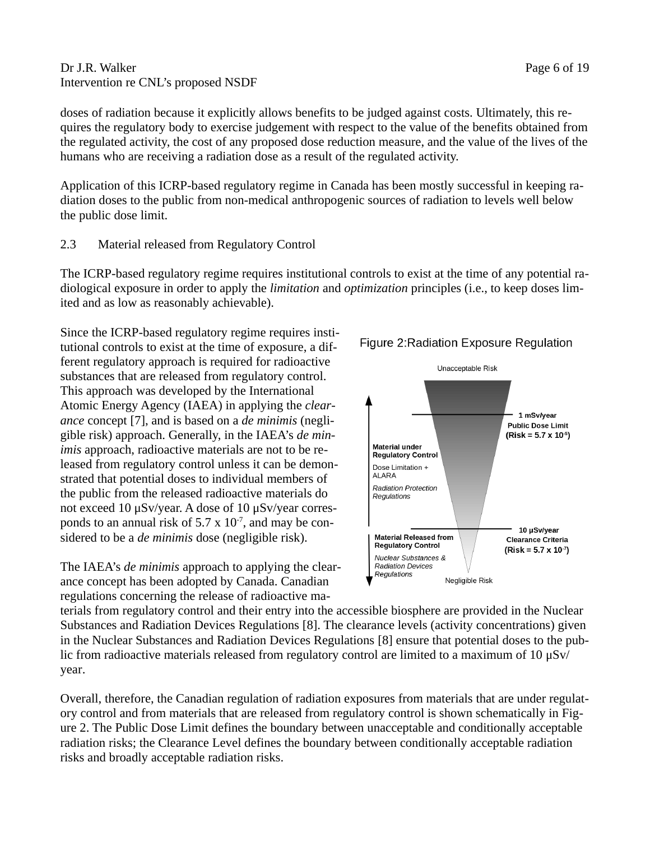#### Dr J.R. Walker Page 6 of 19 Intervention re CNL's proposed NSDF

doses of radiation because it explicitly allows benefits to be judged against costs. Ultimately, this requires the regulatory body to exercise judgement with respect to the value of the benefits obtained from the regulated activity, the cost of any proposed dose reduction measure, and the value of the lives of the humans who are receiving a radiation dose as a result of the regulated activity.

Application of this ICRP-based regulatory regime in Canada has been mostly successful in keeping radiation doses to the public from non-medical anthropogenic sources of radiation to levels well below the public dose limit.

#### 2.3 Material released from Regulatory Control

The ICRP-based regulatory regime requires institutional controls to exist at the time of any potential radiological exposure in order to apply the *limitation* and *optimization* principles (i.e., to keep doses limited and as low as reasonably achievable).

Since the ICRP-based regulatory regime requires institutional controls to exist at the time of exposure, a different regulatory approach is required for radioactive substances that are released from regulatory control. This approach was developed by the International Atomic Energy Agency (IAEA) in applying the *clearance* concept [7], and is based on a *de minimis* (negligible risk) approach. Generally, in the IAEA's *de minimis* approach, radioactive materials are not to be released from regulatory control unless it can be demonstrated that potential doses to individual members of the public from the released radioactive materials do not exceed 10 μSv/year. A dose of 10 μSv/year corresponds to an annual risk of 5.7  $\times$  10<sup>-7</sup>, and may be considered to be a *de minimis* dose (negligible risk).

The IAEA's *de minimis* approach to applying the clearance concept has been adopted by Canada. Canadian regulations concerning the release of radioactive ma-



terials from regulatory control and their entry into the accessible biosphere are provided in the Nuclear Substances and Radiation Devices Regulations [8]. The clearance levels (activity concentrations) given in the Nuclear Substances and Radiation Devices Regulations [8] ensure that potential doses to the public from radioactive materials released from regulatory control are limited to a maximum of 10 μSv/ year.

Overall, therefore, the Canadian regulation of radiation exposures from materials that are under regulatory control and from materials that are released from regulatory control is shown schematically in Figure 2. The Public Dose Limit defines the boundary between unacceptable and conditionally acceptable radiation risks; the Clearance Level defines the boundary between conditionally acceptable radiation risks and broadly acceptable radiation risks.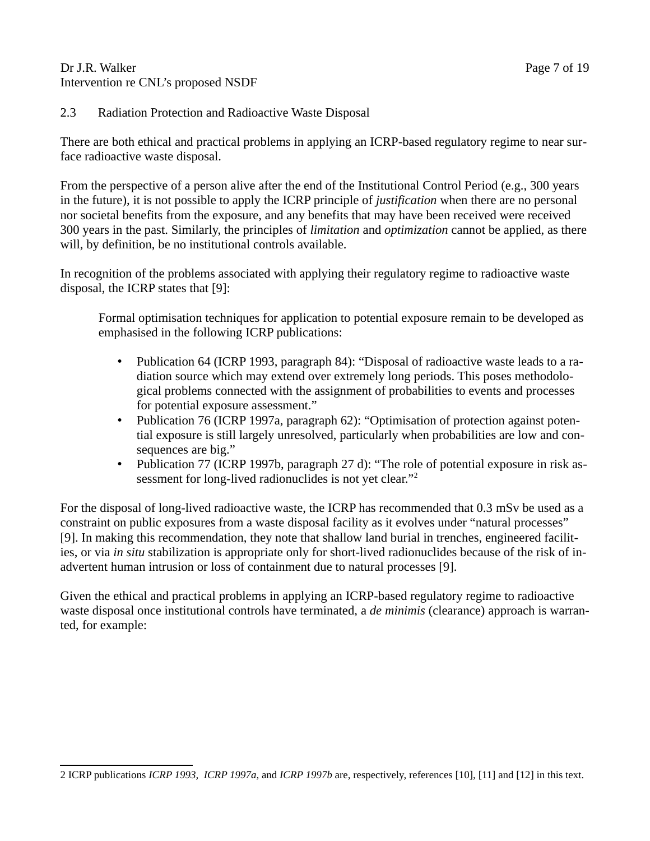#### Dr J.R. Walker Page 7 of 19 Intervention re CNL's proposed NSDF

## 2.3 Radiation Protection and Radioactive Waste Disposal

There are both ethical and practical problems in applying an ICRP-based regulatory regime to near surface radioactive waste disposal.

From the perspective of a person alive after the end of the Institutional Control Period (e.g., 300 years in the future), it is not possible to apply the ICRP principle of *justification* when there are no personal nor societal benefits from the exposure, and any benefits that may have been received were received 300 years in the past. Similarly, the principles of *limitation* and *optimization* cannot be applied, as there will, by definition, be no institutional controls available.

In recognition of the problems associated with applying their regulatory regime to radioactive waste disposal, the ICRP states that [9]:

Formal optimisation techniques for application to potential exposure remain to be developed as emphasised in the following ICRP publications:

- Publication 64 (ICRP 1993, paragraph 84): "Disposal of radioactive waste leads to a radiation source which may extend over extremely long periods. This poses methodological problems connected with the assignment of probabilities to events and processes for potential exposure assessment."
- Publication 76 (ICRP 1997a, paragraph 62): "Optimisation of protection against potential exposure is still largely unresolved, particularly when probabilities are low and consequences are big."
- Publication 77 (ICRP 1997b, paragraph 27 d): "The role of potential exposure in risk as-sessment for long-lived radionuclides is not yet clear."<sup>[2](#page-7-0)</sup>

For the disposal of long-lived radioactive waste, the ICRP has recommended that 0.3 mSv be used as a constraint on public exposures from a waste disposal facility as it evolves under "natural processes" [9]. In making this recommendation, they note that shallow land burial in trenches, engineered facilities, or via *in situ* stabilization is appropriate only for short-lived radionuclides because of the risk of inadvertent human intrusion or loss of containment due to natural processes [9].

Given the ethical and practical problems in applying an ICRP-based regulatory regime to radioactive waste disposal once institutional controls have terminated, a *de minimis* (clearance) approach is warranted, for example:

<span id="page-7-0"></span><sup>2</sup> ICRP publications *ICRP 1993, ICRP 1997a,* and *ICRP 1997b* are, respectively, references [10], [11] and [12] in this text.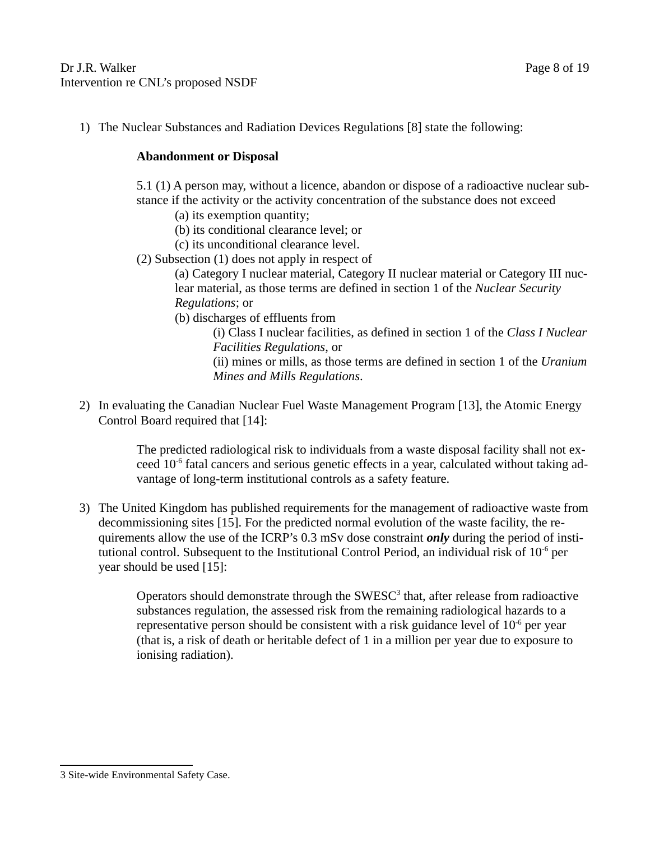1) The Nuclear Substances and Radiation Devices Regulations [8] state the following:

## **Abandonment or Disposal**

5.1 (1) A person may, without a licence, abandon or dispose of a radioactive nuclear substance if the activity or the activity concentration of the substance does not exceed

- (a) its exemption quantity;
- (b) its conditional clearance level; or
- (c) its unconditional clearance level.
- (2) Subsection (1) does not apply in respect of

(a) Category I nuclear material, Category II nuclear material or Category III nuclear material, as those terms are defined in section 1 of the *Nuclear Security Regulations*; or

(b) discharges of effluents from

(i) Class I nuclear facilities, as defined in section 1 of the *Class I Nuclear Facilities Regulations*, or

(ii) mines or mills, as those terms are defined in section 1 of the *Uranium Mines and Mills Regulations*.

2) In evaluating the Canadian Nuclear Fuel Waste Management Program [13], the Atomic Energy Control Board required that [14]:

> The predicted radiological risk to individuals from a waste disposal facility shall not exceed 10-6 fatal cancers and serious genetic effects in a year, calculated without taking advantage of long-term institutional controls as a safety feature.

3) The United Kingdom has published requirements for the management of radioactive waste from decommissioning sites [15]. For the predicted normal evolution of the waste facility, the requirements allow the use of the ICRP's 0.3 mSv dose constraint *only* during the period of institutional control. Subsequent to the Institutional Control Period, an individual risk of 10<sup>-6</sup> per year should be used [15]:

> Operators should demonstrate through the  $\text{SWESC}^3$  $\text{SWESC}^3$  that, after release from radioactive substances regulation, the assessed risk from the remaining radiological hazards to a representative person should be consistent with a risk guidance level of  $10^{-6}$  per year (that is, a risk of death or heritable defect of 1 in a million per year due to exposure to ionising radiation).

<span id="page-8-0"></span><sup>3</sup> Site-wide Environmental Safety Case.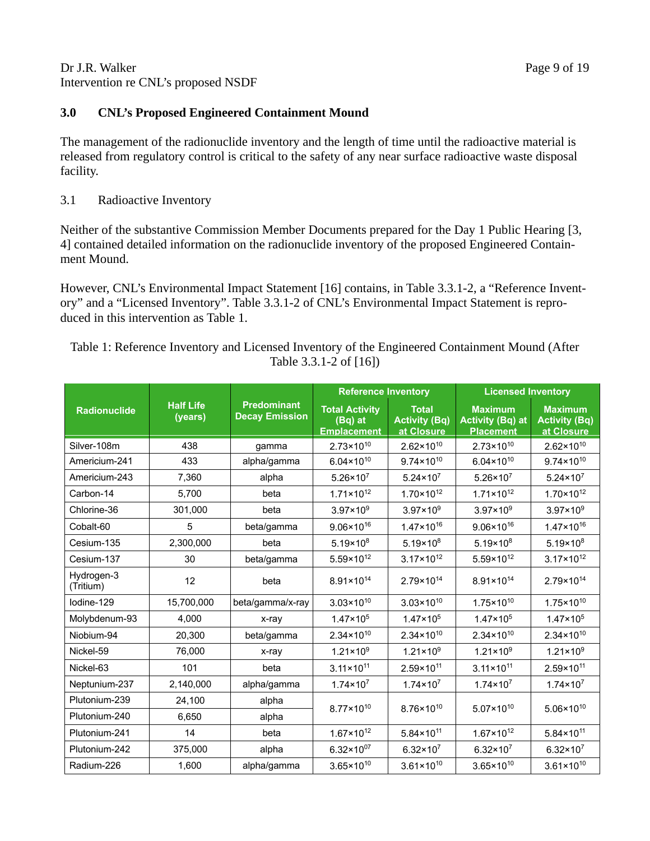Dr J.R. Walker Page 9 of 19 Intervention re CNL's proposed NSDF

## **3.0 CNL's Proposed Engineered Containment Mound**

The management of the radionuclide inventory and the length of time until the radioactive material is released from regulatory control is critical to the safety of any near surface radioactive waste disposal facility.

## 3.1 Radioactive Inventory

Neither of the substantive Commission Member Documents prepared for the Day 1 Public Hearing [3, 4] contained detailed information on the radionuclide inventory of the proposed Engineered Containment Mound.

However, CNL's Environmental Impact Statement [16] contains, in Table 3.3.1-2, a "Reference Inventory" and a "Licensed Inventory". Table 3.3.1-2 of CNL's Environmental Impact Statement is reproduced in this intervention as Table 1.

Table 1: Reference Inventory and Licensed Inventory of the Engineered Containment Mound (After Table 3.3.1-2 of [16])

|                         |                             |                                             | <b>Reference Inventory</b>                             |                                                    | <b>Licensed Inventory</b>                                     |                                                      |
|-------------------------|-----------------------------|---------------------------------------------|--------------------------------------------------------|----------------------------------------------------|---------------------------------------------------------------|------------------------------------------------------|
| <b>Radionuclide</b>     | <b>Half Life</b><br>(years) | <b>Predominant</b><br><b>Decay Emission</b> | <b>Total Activity</b><br>(Bq) at<br><b>Emplacement</b> | <b>Total</b><br><b>Activity (Bq)</b><br>at Closure | <b>Maximum</b><br><b>Activity (Bq) at</b><br><b>Placement</b> | <b>Maximum</b><br><b>Activity (Bq)</b><br>at Closure |
| Silver-108m             | 438                         | gamma                                       | $2.73 \times 10^{10}$                                  | $2.62 \times 10^{10}$                              | $2.73 \times 10^{10}$                                         | $2.62 \times 10^{10}$                                |
| Americium-241           | 433                         | alpha/gamma                                 | $6.04 \times 10^{10}$                                  | $9.74 \times 10^{10}$                              | $6.04 \times 10^{10}$                                         | $9.74 \times 10^{10}$                                |
| Americium-243           | 7,360                       | alpha                                       | $5.26 \times 10^7$                                     | $5.24 \times 10^7$                                 | $5.26 \times 10^7$                                            | $5.24 \times 10^7$                                   |
| Carbon-14               | 5,700                       | beta                                        | $1.71 \times 10^{12}$                                  | $1.70 \times 10^{12}$                              | $1.71 \times 10^{12}$                                         | $1.70 \times 10^{12}$                                |
| Chlorine-36             | 301,000                     | beta                                        | $3.97 \times 10^{9}$                                   | $3.97 \times 10^{9}$                               | $3.97 \times 10^{9}$                                          | $3.97 \times 10^{9}$                                 |
| Cobalt-60               | 5                           | beta/gamma                                  | $9.06 \times 10^{16}$                                  | $1.47 \times 10^{16}$                              | $9.06 \times 10^{16}$                                         | $1.47 \times 10^{16}$                                |
| Cesium-135              | 2,300,000                   | beta                                        | $5.19 \times 10^{8}$                                   | $5.19 \times 10^{8}$                               | $5.19 \times 10^{8}$                                          | $5.19 \times 10^{8}$                                 |
| Cesium-137              | 30                          | beta/gamma                                  | 5.59×10 <sup>12</sup>                                  | $3.17 \times 10^{12}$                              | $5.59 \times 10^{12}$                                         | $3.17 \times 10^{12}$                                |
| Hydrogen-3<br>(Tritium) | 12                          | beta                                        | 8.91×10 <sup>14</sup>                                  | 2.79×10 <sup>14</sup>                              | 8.91×10 <sup>14</sup>                                         | $2.79 \times 10^{14}$                                |
| lodine-129              | 15,700,000                  | beta/gamma/x-ray                            | $3.03 \times 10^{10}$                                  | $3.03 \times 10^{10}$                              | $1.75 \times 10^{10}$                                         | $1.75 \times 10^{10}$                                |
| Molybdenum-93           | 4,000                       | x-ray                                       | $1.47 \times 10^{5}$                                   | $1.47 \times 10^{5}$                               | $1.47 \times 10^{5}$                                          | $1.47 \times 10^{5}$                                 |
| Niobium-94              | 20,300                      | beta/gamma                                  | $2.34 \times 10^{10}$                                  | $2.34 \times 10^{10}$                              | $2.34 \times 10^{10}$                                         | $2.34 \times 10^{10}$                                |
| Nickel-59               | 76,000                      | x-ray                                       | $1.21 \times 10^{9}$                                   | $1.21 \times 10^{9}$                               | $1.21 \times 10^{9}$                                          | $1.21 \times 10^{9}$                                 |
| Nickel-63               | 101                         | beta                                        | $3.11 \times 10^{11}$                                  | $2.59 \times 10^{11}$                              | $3.11 \times 10^{11}$                                         | $2.59 \times 10^{11}$                                |
| Neptunium-237           | 2,140,000                   | alpha/gamma                                 | $1.74 \times 10^{7}$                                   | $1.74 \times 10^{7}$                               | $1.74 \times 10^{7}$                                          | $1.74 \times 10^{7}$                                 |
| Plutonium-239           | 24,100                      | alpha                                       | $8.76 \times 10^{10}$                                  |                                                    |                                                               |                                                      |
| Plutonium-240           | 6,650                       | alpha                                       | $8.77 \times 10^{10}$                                  |                                                    | $5.07 \times 10^{10}$                                         | $5.06 \times 10^{10}$                                |
| Plutonium-241           | 14                          | beta                                        | $1.67 \times 10^{12}$                                  | $5.84 \times 10^{11}$                              | $1.67 \times 10^{12}$                                         | $5.84 \times 10^{11}$                                |
| Plutonium-242           | 375,000                     | alpha                                       | $6.32 \times 10^{07}$                                  | $6.32 \times 10^7$                                 | $6.32 \times 10^7$                                            | $6.32 \times 10^7$                                   |
| Radium-226              | 1,600                       | alpha/gamma                                 | $3.65 \times 10^{10}$                                  | $3.61 \times 10^{10}$                              | $3.65 \times 10^{10}$                                         | $3.61 \times 10^{10}$                                |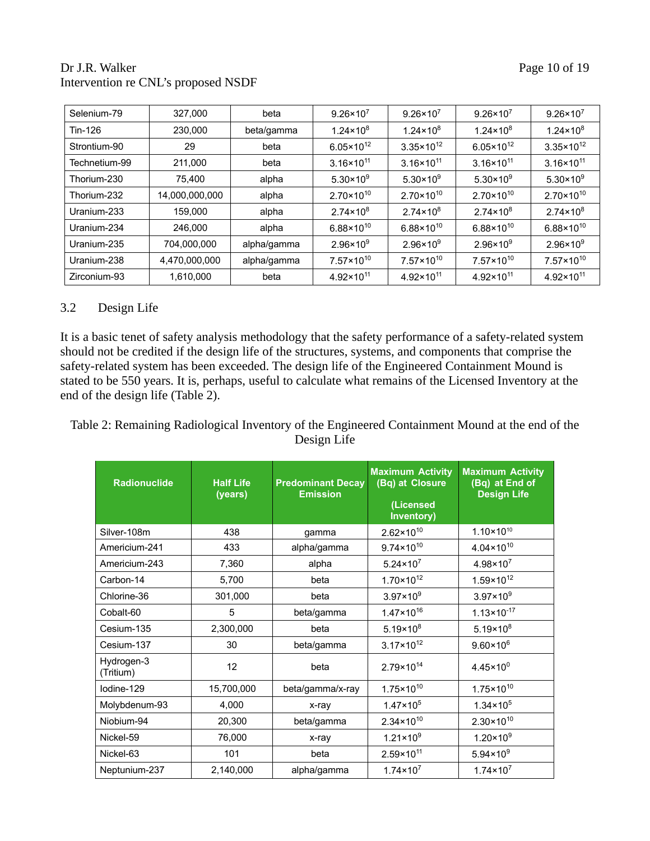## Dr J.R. Walker Page 10 of 19 Intervention re CNL's proposed NSDF

| Selenium-79   | 327,000        | beta        | $9.26 \times 10^7$    | $9.26 \times 10^{7}$  | $9.26 \times 10^{7}$  | $9.26 \times 10^7$    |
|---------------|----------------|-------------|-----------------------|-----------------------|-----------------------|-----------------------|
| Tin-126       | 230,000        | beta/gamma  | $1.24 \times 10^8$    | $1.24 \times 10^8$    | $1.24 \times 10^8$    | $1.24 \times 10^8$    |
| Strontium-90  | 29             | beta        | $6.05 \times 10^{12}$ | $3.35 \times 10^{12}$ | $6.05 \times 10^{12}$ | $3.35 \times 10^{12}$ |
| Technetium-99 | 211,000        | beta        | $3.16 \times 10^{11}$ | $3.16 \times 10^{11}$ | $3.16 \times 10^{11}$ | $3.16 \times 10^{11}$ |
| Thorium-230   | 75,400         | alpha       | $5.30 \times 10^{9}$  | $5.30 \times 10^{9}$  | $5.30 \times 10^{9}$  | $5.30 \times 10^{9}$  |
| Thorium-232   | 14,000,000,000 | alpha       | $2.70 \times 10^{10}$ | $2.70 \times 10^{10}$ | $2.70 \times 10^{10}$ | $2.70 \times 10^{10}$ |
| Uranium-233   | 159,000        | alpha       | $2.74 \times 10^8$    | $2.74 \times 10^8$    | $2.74 \times 10^8$    | $2.74 \times 10^8$    |
| Uranium-234   | 246,000        | alpha       | $6.88 \times 10^{10}$ | $6.88 \times 10^{10}$ | $6.88 \times 10^{10}$ | $6.88 \times 10^{10}$ |
| Uranium-235   | 704,000,000    | alpha/gamma | $2.96 \times 10^{9}$  | $2.96 \times 10^9$    | $2.96 \times 10^{9}$  | $2.96 \times 10^{9}$  |
| Uranium-238   | 4,470,000,000  | alpha/gamma | $7.57 \times 10^{10}$ | $7.57 \times 10^{10}$ | $7.57 \times 10^{10}$ | $7.57 \times 10^{10}$ |
| Zirconium-93  | 1,610,000      | beta        | $4.92 \times 10^{11}$ | $4.92 \times 10^{11}$ | $4.92 \times 10^{11}$ | $4.92 \times 10^{11}$ |

#### 3.2 Design Life

It is a basic tenet of safety analysis methodology that the safety performance of a safety-related system should not be credited if the design life of the structures, systems, and components that comprise the safety-related system has been exceeded. The design life of the Engineered Containment Mound is stated to be 550 years. It is, perhaps, useful to calculate what remains of the Licensed Inventory at the end of the design life (Table 2).

Table 2: Remaining Radiological Inventory of the Engineered Containment Mound at the end of the Design Life

| <b>Radionuclide</b>     | <b>Half Life</b><br>(years) | <b>Maximum Activity</b><br>(Bq) at Closure<br><b>Predominant Decay</b><br><b>Emission</b><br>(Licensed<br>Inventory) |                       | <b>Maximum Activity</b><br>(Bq) at End of<br><b>Design Life</b> |
|-------------------------|-----------------------------|----------------------------------------------------------------------------------------------------------------------|-----------------------|-----------------------------------------------------------------|
| Silver-108m             | 438                         | gamma                                                                                                                | $2.62 \times 10^{10}$ | $1.10 \times 10^{10}$                                           |
| Americium-241           | 433                         | alpha/gamma                                                                                                          | $9.74 \times 10^{10}$ | $4.04 \times 10^{10}$                                           |
| Americium-243           | 7,360                       | alpha                                                                                                                | $5.24 \times 10^7$    | $4.98 \times 10^{7}$                                            |
| Carbon-14               | 5,700                       | beta                                                                                                                 | $1.70 \times 10^{12}$ | $1.59 \times 10^{12}$                                           |
| Chlorine-36             | 301,000                     | beta                                                                                                                 | $3.97 \times 10^{9}$  | $3.97 \times 10^{9}$                                            |
| Cobalt-60               | 5                           | beta/gamma                                                                                                           | $1.47 \times 10^{16}$ | $1.13 \times 10^{-17}$                                          |
| Cesium-135              | 2,300,000                   | beta                                                                                                                 | $5.19 \times 10^8$    | $5.19 \times 10^8$                                              |
| Cesium-137              | 30                          | beta/gamma                                                                                                           | $3.17 \times 10^{12}$ | $9.60 \times 10^6$                                              |
| Hydrogen-3<br>(Tritium) | 12                          | beta                                                                                                                 | $2.79 \times 10^{14}$ | $4.45 \times 10^{0}$                                            |
| lodine-129              | 15,700,000                  | beta/gamma/x-ray                                                                                                     | $1.75 \times 10^{10}$ | $1.75 \times 10^{10}$                                           |
| Molybdenum-93           | 4,000                       | x-ray                                                                                                                | $1.47 \times 10^{5}$  | $1.34 \times 10^5$                                              |
| Niobium-94              | 20,300                      | beta/gamma                                                                                                           | $2.34 \times 10^{10}$ | $2.30 \times 10^{10}$                                           |
| Nickel-59               | 76,000                      | x-ray                                                                                                                | $1.21 \times 10^{9}$  | $1.20 \times 10^{9}$                                            |
| Nickel-63               | 101                         | beta                                                                                                                 | $2.59 \times 10^{11}$ | $5.94 \times 10^{9}$                                            |
| Neptunium-237           | 2,140,000                   | alpha/gamma                                                                                                          | $1.74 \times 10^{7}$  | $1.74 \times 10^{7}$                                            |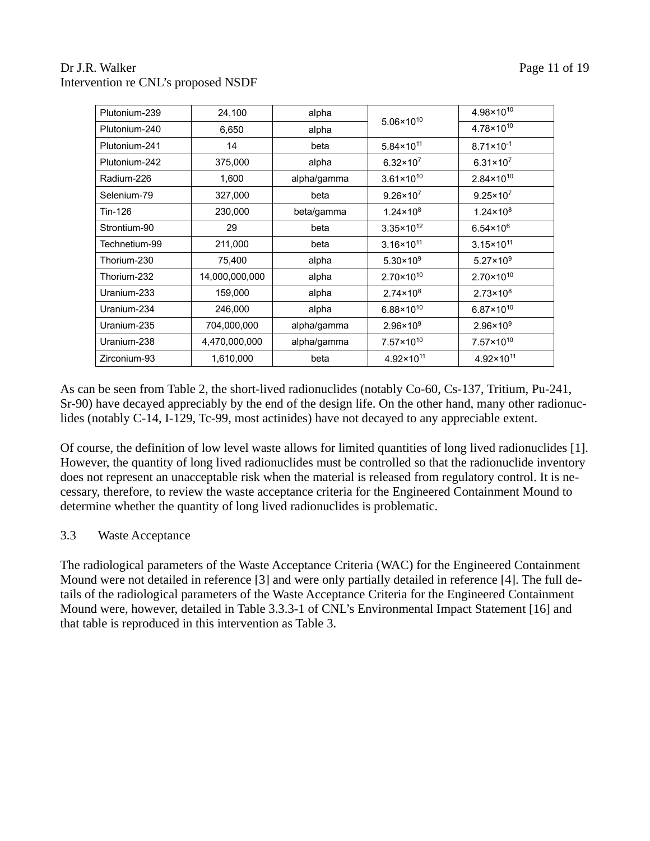## Dr J.R. Walker Page 11 of 19 Intervention re CNL's proposed NSDF

| Plutonium-239 | 24,100         | alpha       |                       | 4.98×10 <sup>10</sup> |
|---------------|----------------|-------------|-----------------------|-----------------------|
| Plutonium-240 | 6,650          | alpha       | $5.06 \times 10^{10}$ | 4.78×10 <sup>10</sup> |
| Plutonium-241 | 14             | beta        | $5.84 \times 10^{11}$ | $8.71 \times 10^{-1}$ |
| Plutonium-242 | 375,000        | alpha       | $6.32 \times 10^7$    | $6.31 \times 10^7$    |
| Radium-226    | 1,600          | alpha/gamma | $3.61 \times 10^{10}$ | $2.84 \times 10^{10}$ |
| Selenium-79   | 327,000        | beta        | $9.26 \times 10^7$    | $9.25 \times 10^7$    |
| Tin-126       | 230,000        | beta/gamma  | $1.24 \times 10^8$    | $1.24 \times 10^8$    |
| Strontium-90  | 29             | beta        | $3.35 \times 10^{12}$ | $6.54 \times 10^{6}$  |
| Technetium-99 | 211,000        | beta        | $3.16 \times 10^{11}$ | $3.15 \times 10^{11}$ |
| Thorium-230   | 75,400         | alpha       | $5.30 \times 10^{9}$  | $5.27 \times 10^{9}$  |
| Thorium-232   | 14,000,000,000 | alpha       | $2.70 \times 10^{10}$ | $2.70 \times 10^{10}$ |
| Uranium-233   | 159,000        | alpha       | $2.74 \times 10^8$    | $2.73 \times 10^8$    |
| Uranium-234   | 246,000        | alpha       | $6.88 \times 10^{10}$ | $6.87 \times 10^{10}$ |
| Uranium-235   | 704,000,000    | alpha/gamma | $2.96 \times 10^{9}$  | $2.96 \times 10^{9}$  |
| Uranium-238   | 4,470,000,000  | alpha/gamma | $7.57 \times 10^{10}$ | $7.57 \times 10^{10}$ |
| Zirconium-93  | 1,610,000      | beta        | $4.92 \times 10^{11}$ | $4.92 \times 10^{11}$ |

As can be seen from Table 2, the short-lived radionuclides (notably Co-60, Cs-137, Tritium, Pu-241, Sr-90) have decayed appreciably by the end of the design life. On the other hand, many other radionuclides (notably C-14, I-129, Tc-99, most actinides) have not decayed to any appreciable extent.

Of course, the definition of low level waste allows for limited quantities of long lived radionuclides [1]. However, the quantity of long lived radionuclides must be controlled so that the radionuclide inventory does not represent an unacceptable risk when the material is released from regulatory control. It is necessary, therefore, to review the waste acceptance criteria for the Engineered Containment Mound to determine whether the quantity of long lived radionuclides is problematic.

#### 3.3 Waste Acceptance

The radiological parameters of the Waste Acceptance Criteria (WAC) for the Engineered Containment Mound were not detailed in reference [3] and were only partially detailed in reference [4]. The full details of the radiological parameters of the Waste Acceptance Criteria for the Engineered Containment Mound were, however, detailed in Table 3.3.3-1 of CNL's Environmental Impact Statement [16] and that table is reproduced in this intervention as Table 3.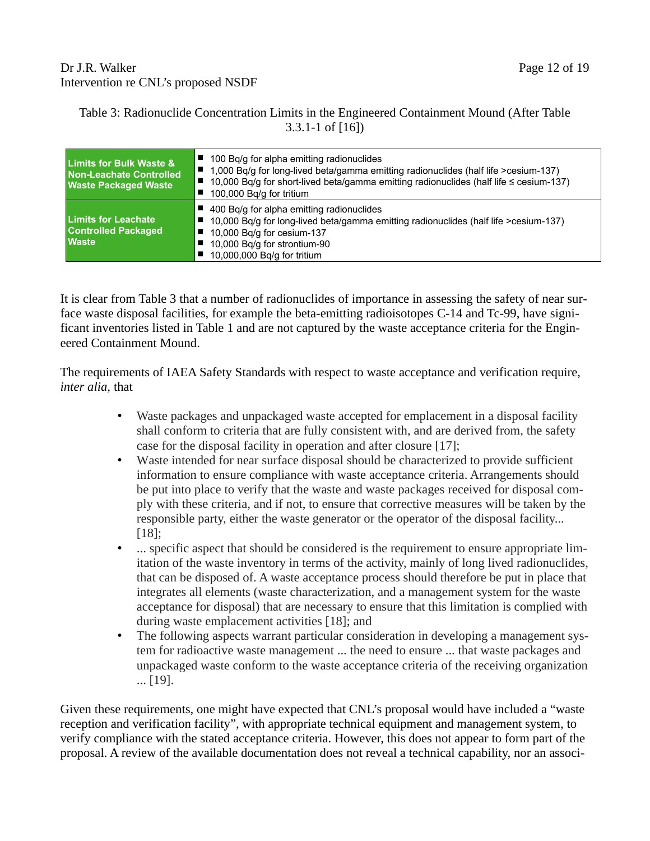## Dr J.R. Walker Page 12 of 19 Intervention re CNL's proposed NSDF

#### Table 3: Radionuclide Concentration Limits in the Engineered Containment Mound (After Table 3.3.1-1 of [16])

| <b>Limits for Bulk Waste &amp;</b><br>Non-Leachate Controlled<br><b>Waste Packaged Waste</b> | 100 Bq/g for alpha emitting radionuclides<br>1,000 Bq/g for long-lived beta/gamma emitting radionuclides (half life >cesium-137)<br>10,000 Bq/g for short-lived beta/gamma emitting radionuclides (half life $\leq$ cesium-137)<br>100,000 Bg/g for tritium |
|----------------------------------------------------------------------------------------------|-------------------------------------------------------------------------------------------------------------------------------------------------------------------------------------------------------------------------------------------------------------|
| <b>Limits for Leachate</b><br><b>Controlled Packaged</b><br><b>Waste</b>                     | 400 Bg/g for alpha emitting radionuclides<br>10,000 Bq/g for long-lived beta/gamma emitting radionuclides (half life >cesium-137)<br>10,000 Bq/g for cesium-137<br>10,000 Bq/g for strontium-90<br>10,000,000 Bq/g for tritium                              |

It is clear from Table 3 that a number of radionuclides of importance in assessing the safety of near surface waste disposal facilities, for example the beta-emitting radioisotopes C-14 and Tc-99, have significant inventories listed in Table 1 and are not captured by the waste acceptance criteria for the Engineered Containment Mound.

The requirements of IAEA Safety Standards with respect to waste acceptance and verification require, *inter alia,* that

- Waste packages and unpackaged waste accepted for emplacement in a disposal facility shall conform to criteria that are fully consistent with, and are derived from, the safety case for the disposal facility in operation and after closure [17];
- Waste intended for near surface disposal should be characterized to provide sufficient information to ensure compliance with waste acceptance criteria. Arrangements should be put into place to verify that the waste and waste packages received for disposal comply with these criteria, and if not, to ensure that corrective measures will be taken by the responsible party, either the waste generator or the operator of the disposal facility... [18];
- ... specific aspect that should be considered is the requirement to ensure appropriate limitation of the waste inventory in terms of the activity, mainly of long lived radionuclides, that can be disposed of. A waste acceptance process should therefore be put in place that integrates all elements (waste characterization, and a management system for the waste acceptance for disposal) that are necessary to ensure that this limitation is complied with during waste emplacement activities [18]; and
- The following aspects warrant particular consideration in developing a management system for radioactive waste management ... the need to ensure ... that waste packages and unpackaged waste conform to the waste acceptance criteria of the receiving organization ... [19].

Given these requirements, one might have expected that CNL's proposal would have included a "waste reception and verification facility", with appropriate technical equipment and management system, to verify compliance with the stated acceptance criteria. However, this does not appear to form part of the proposal. A review of the available documentation does not reveal a technical capability, nor an associ-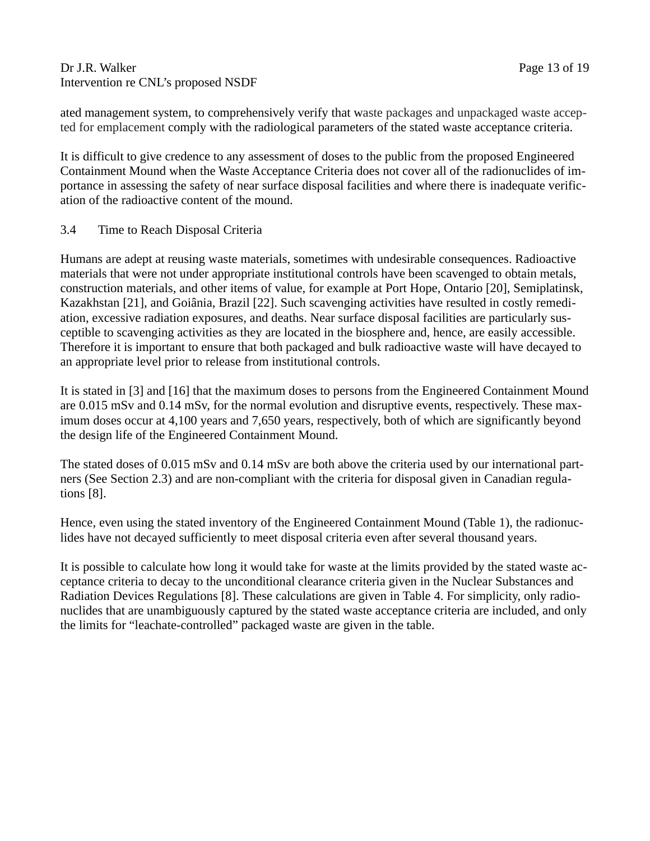#### Dr J.R. Walker Page 13 of 19 Intervention re CNL's proposed NSDF

ated management system, to comprehensively verify that waste packages and unpackaged waste accepted for emplacement comply with the radiological parameters of the stated waste acceptance criteria.

It is difficult to give credence to any assessment of doses to the public from the proposed Engineered Containment Mound when the Waste Acceptance Criteria does not cover all of the radionuclides of importance in assessing the safety of near surface disposal facilities and where there is inadequate verification of the radioactive content of the mound.

## 3.4 Time to Reach Disposal Criteria

Humans are adept at reusing waste materials, sometimes with undesirable consequences. Radioactive materials that were not under appropriate institutional controls have been scavenged to obtain metals, construction materials, and other items of value, for example at Port Hope, Ontario [20], Semiplatinsk, Kazakhstan [21], and Goiânia, Brazil [22]. Such scavenging activities have resulted in costly remediation, excessive radiation exposures, and deaths. Near surface disposal facilities are particularly susceptible to scavenging activities as they are located in the biosphere and, hence, are easily accessible. Therefore it is important to ensure that both packaged and bulk radioactive waste will have decayed to an appropriate level prior to release from institutional controls.

It is stated in [3] and [16] that the maximum doses to persons from the Engineered Containment Mound are 0.015 mSv and 0.14 mSv, for the normal evolution and disruptive events, respectively. These maximum doses occur at 4,100 years and 7,650 years, respectively, both of which are significantly beyond the design life of the Engineered Containment Mound.

The stated doses of 0.015 mSv and 0.14 mSv are both above the criteria used by our international partners (See Section 2.3) and are non-compliant with the criteria for disposal given in Canadian regulations [8].

Hence, even using the stated inventory of the Engineered Containment Mound (Table 1), the radionuclides have not decayed sufficiently to meet disposal criteria even after several thousand years.

It is possible to calculate how long it would take for waste at the limits provided by the stated waste acceptance criteria to decay to the unconditional clearance criteria given in the Nuclear Substances and Radiation Devices Regulations [8]. These calculations are given in Table 4. For simplicity, only radionuclides that are unambiguously captured by the stated waste acceptance criteria are included, and only the limits for "leachate-controlled" packaged waste are given in the table.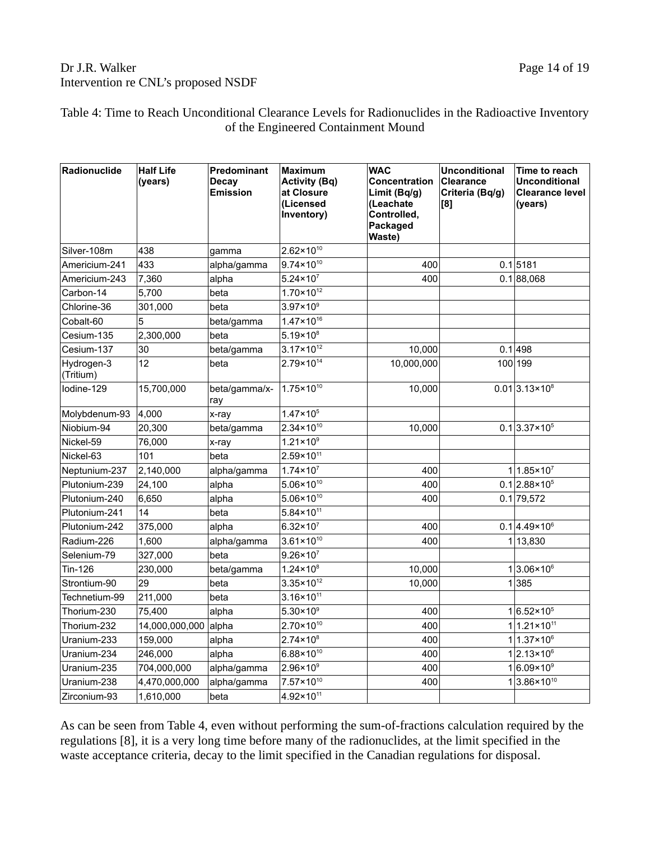## Dr J.R. Walker Page 14 of 19 Intervention re CNL's proposed NSDF

#### Table 4: Time to Reach Unconditional Clearance Levels for Radionuclides in the Radioactive Inventory of the Engineered Containment Mound

| Radionuclide            | <b>Half Life</b><br>(years) | <b>Predominant</b><br><b>Decay</b><br><b>Emission</b> | <b>Maximum</b><br><b>Activity (Bq)</b><br>at Closure<br>(Licensed<br>Inventory) | <b>WAC</b><br>Concentration<br>Limit (Bq/g)<br>(Leachate<br>Controlled,<br>Packaged<br>Waste) | <b>Unconditional</b><br><b>Clearance</b><br>Criteria (Bq/g)<br>[8] | Time to reach<br><b>Unconditional</b><br><b>Clearance level</b><br>(years) |
|-------------------------|-----------------------------|-------------------------------------------------------|---------------------------------------------------------------------------------|-----------------------------------------------------------------------------------------------|--------------------------------------------------------------------|----------------------------------------------------------------------------|
| Silver-108m             | 438                         | gamma                                                 | $2.62 \times 10^{10}$                                                           |                                                                                               |                                                                    |                                                                            |
| Americium-241           | 433                         | alpha/gamma                                           | $9.74 \times 10^{10}$                                                           | 400                                                                                           |                                                                    | $0.1$ 5181                                                                 |
| Americium-243           | 7,360                       | alpha                                                 | $5.24 \times 10^{7}$                                                            | 400                                                                                           |                                                                    | 0.1 88,068                                                                 |
| Carbon-14               | 5,700                       | beta                                                  | $1.70 \times 10^{12}$                                                           |                                                                                               |                                                                    |                                                                            |
| Chlorine-36             | 301,000                     | beta                                                  | $3.97 \times 10^9$                                                              |                                                                                               |                                                                    |                                                                            |
| Cobalt-60               | 5                           | beta/gamma                                            | $1.47 \times 10^{16}$                                                           |                                                                                               |                                                                    |                                                                            |
| Cesium-135              | 2,300,000                   | beta                                                  | $5.19 \times 10^8$                                                              |                                                                                               |                                                                    |                                                                            |
| Cesium-137              | 30                          | beta/gamma                                            | $3.17 \times 10^{12}$                                                           | 10,000                                                                                        |                                                                    | 0.1 498                                                                    |
| Hydrogen-3<br>(Tritium) | 12                          | beta                                                  | 2.79×10 <sup>14</sup>                                                           | 10,000,000                                                                                    |                                                                    | 100 199                                                                    |
| lodine-129              | 15,700,000                  | beta/gamma/x-<br>ray                                  | $1.75 \times 10^{10}$                                                           | 10,000                                                                                        |                                                                    | $0.01$ 3.13×10 <sup>8</sup>                                                |
| Molybdenum-93           | 4,000                       | x-ray                                                 | $1.47 \times 10^{5}$                                                            |                                                                                               |                                                                    |                                                                            |
| Niobium-94              | 20,300                      | beta/gamma                                            | $2.34 \times 10^{10}$                                                           | 10,000                                                                                        |                                                                    | $0.1 3.37 \times 10^5$                                                     |
| Nickel-59               | 76,000                      | x-ray                                                 | $1.21 \times 10^9$                                                              |                                                                                               |                                                                    |                                                                            |
| Nickel-63               | 101                         | beta                                                  | $2.59 \times 10^{11}$                                                           |                                                                                               |                                                                    |                                                                            |
| Neptunium-237           | 2,140,000                   | alpha/gamma                                           | $1.74 \times 10^{7}$                                                            | 400                                                                                           |                                                                    | $1 1.85 \times 10^{7}$                                                     |
| Plutonium-239           | 24,100                      | alpha                                                 | $5.06 \times 10^{10}$                                                           | 400                                                                                           |                                                                    | $0.1$  2.88×10 <sup>5</sup>                                                |
| Plutonium-240           | 6,650                       | alpha                                                 | $5.06 \times 10^{10}$                                                           | 400                                                                                           |                                                                    | $0.1$ 79,572                                                               |
| Plutonium-241           | 14                          | beta                                                  | $5.84 \times 10^{11}$                                                           |                                                                                               |                                                                    |                                                                            |
| Plutonium-242           | 375,000                     | alpha                                                 | $6.32 \times 10^{7}$                                                            | 400                                                                                           |                                                                    | $0.1   4.49 \times 10^{6}$                                                 |
| Radium-226              | 1,600                       | alpha/gamma                                           | $3.61 \times 10^{10}$                                                           | 400                                                                                           |                                                                    | 113,830                                                                    |
| Selenium-79             | 327,000                     | beta                                                  | $9.26 \times 10^{7}$                                                            |                                                                                               |                                                                    |                                                                            |
| Tin-126                 | 230,000                     | beta/gamma                                            | $1.24 \times 10^8$                                                              | 10,000                                                                                        |                                                                    | $1 3.06 \times 10^6$                                                       |
| Strontium-90            | 29                          | beta                                                  | $3.35 \times 10^{12}$                                                           | 10,000                                                                                        |                                                                    | 1 385                                                                      |
| Technetium-99           | 211,000                     | beta                                                  | $3.16 \times 10^{11}$                                                           |                                                                                               |                                                                    |                                                                            |
| Thorium-230             | 75,400                      | alpha                                                 | $5.30 \times 10^9$                                                              | 400                                                                                           |                                                                    | $1 6.52 \times 10^5$                                                       |
| Thorium-232             | 14,000,000,000 alpha        |                                                       | $2.70 \times 10^{10}$                                                           | 400                                                                                           |                                                                    | $1 1.21 \times 10^{11}$                                                    |
| Uranium-233             | 159,000                     | alpha                                                 | $2.74 \times 10^8$                                                              | 400                                                                                           |                                                                    | $1 1.37 \times 10^{6}$                                                     |
| Uranium-234             | 246,000                     | alpha                                                 | 6.88×10 <sup>10</sup>                                                           | 400                                                                                           |                                                                    | $1 2.13 \times 10^{6}$                                                     |
| Uranium-235             | 704,000,000                 | alpha/gamma                                           | $2.96 \times 10^9$                                                              | 400                                                                                           |                                                                    | $1 6.09 \times 10^9$                                                       |
| Uranium-238             | 4,470,000,000               | alpha/gamma                                           | $7.57 \times 10^{10}$                                                           | 400                                                                                           |                                                                    | 13.86×10 <sup>10</sup>                                                     |
| Zirconium-93            | 1,610,000                   | beta                                                  | 4.92×10 <sup>11</sup>                                                           |                                                                                               |                                                                    |                                                                            |

As can be seen from Table 4, even without performing the sum-of-fractions calculation required by the regulations [8], it is a very long time before many of the radionuclides, at the limit specified in the waste acceptance criteria, decay to the limit specified in the Canadian regulations for disposal.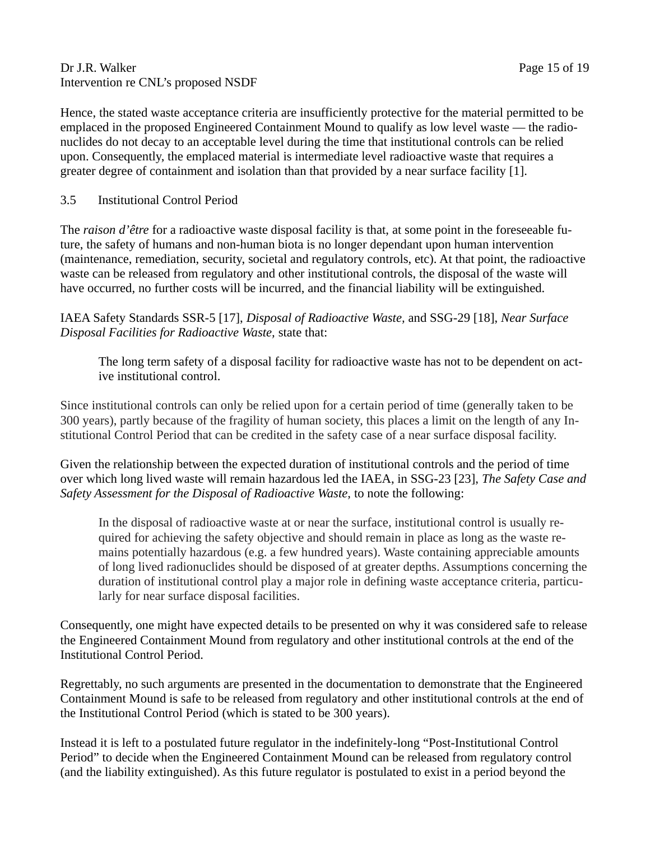#### Dr J.R. Walker Page 15 of 19 Intervention re CNL's proposed NSDF

Hence, the stated waste acceptance criteria are insufficiently protective for the material permitted to be emplaced in the proposed Engineered Containment Mound to qualify as low level waste — the radionuclides do not decay to an acceptable level during the time that institutional controls can be relied upon. Consequently, the emplaced material is intermediate level radioactive waste that requires a greater degree of containment and isolation than that provided by a near surface facility [1].

#### 3.5 Institutional Control Period

The *raison d'être* for a radioactive waste disposal facility is that, at some point in the foreseeable future, the safety of humans and non-human biota is no longer dependant upon human intervention (maintenance, remediation, security, societal and regulatory controls, etc). At that point, the radioactive waste can be released from regulatory and other institutional controls, the disposal of the waste will have occurred, no further costs will be incurred, and the financial liability will be extinguished.

IAEA Safety Standards SSR-5 [17], *Disposal of Radioactive Waste,* and SSG-29 [18], *Near Surface Disposal Facilities for Radioactive Waste,* state that:

The long term safety of a disposal facility for radioactive waste has not to be dependent on active institutional control.

Since institutional controls can only be relied upon for a certain period of time (generally taken to be 300 years), partly because of the fragility of human society, this places a limit on the length of any Institutional Control Period that can be credited in the safety case of a near surface disposal facility.

Given the relationship between the expected duration of institutional controls and the period of time over which long lived waste will remain hazardous led the IAEA, in SSG-23 [23], *The Safety Case and Safety Assessment for the Disposal of Radioactive Waste,* to note the following:

In the disposal of radioactive waste at or near the surface, institutional control is usually required for achieving the safety objective and should remain in place as long as the waste remains potentially hazardous (e.g. a few hundred years). Waste containing appreciable amounts of long lived radionuclides should be disposed of at greater depths. Assumptions concerning the duration of institutional control play a major role in defining waste acceptance criteria, particularly for near surface disposal facilities.

Consequently, one might have expected details to be presented on why it was considered safe to release the Engineered Containment Mound from regulatory and other institutional controls at the end of the Institutional Control Period.

Regrettably, no such arguments are presented in the documentation to demonstrate that the Engineered Containment Mound is safe to be released from regulatory and other institutional controls at the end of the Institutional Control Period (which is stated to be 300 years).

Instead it is left to a postulated future regulator in the indefinitely-long "Post-Institutional Control Period" to decide when the Engineered Containment Mound can be released from regulatory control (and the liability extinguished). As this future regulator is postulated to exist in a period beyond the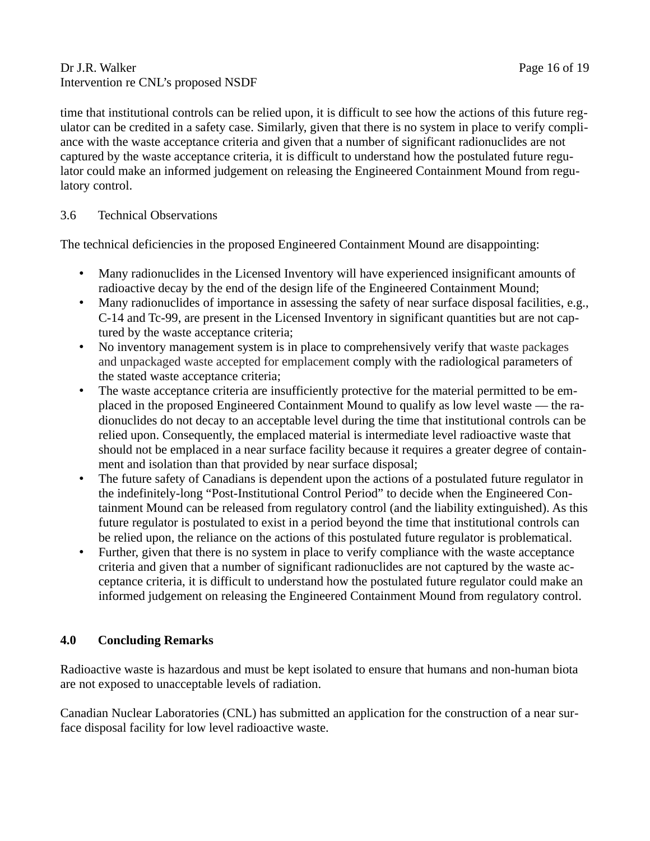#### Dr J.R. Walker Page 16 of 19 Intervention re CNL's proposed NSDF

time that institutional controls can be relied upon, it is difficult to see how the actions of this future regulator can be credited in a safety case. Similarly, given that there is no system in place to verify compliance with the waste acceptance criteria and given that a number of significant radionuclides are not captured by the waste acceptance criteria, it is difficult to understand how the postulated future regulator could make an informed judgement on releasing the Engineered Containment Mound from regulatory control.

#### 3.6 Technical Observations

The technical deficiencies in the proposed Engineered Containment Mound are disappointing:

- Many radionuclides in the Licensed Inventory will have experienced insignificant amounts of radioactive decay by the end of the design life of the Engineered Containment Mound;
- Many radionuclides of importance in assessing the safety of near surface disposal facilities, e.g., C-14 and Tc-99, are present in the Licensed Inventory in significant quantities but are not captured by the waste acceptance criteria;
- No inventory management system is in place to comprehensively verify that waste packages and unpackaged waste accepted for emplacement comply with the radiological parameters of the stated waste acceptance criteria;
- The waste acceptance criteria are insufficiently protective for the material permitted to be emplaced in the proposed Engineered Containment Mound to qualify as low level waste — the radionuclides do not decay to an acceptable level during the time that institutional controls can be relied upon. Consequently, the emplaced material is intermediate level radioactive waste that should not be emplaced in a near surface facility because it requires a greater degree of containment and isolation than that provided by near surface disposal;
- The future safety of Canadians is dependent upon the actions of a postulated future regulator in the indefinitely-long "Post-Institutional Control Period" to decide when the Engineered Containment Mound can be released from regulatory control (and the liability extinguished). As this future regulator is postulated to exist in a period beyond the time that institutional controls can be relied upon, the reliance on the actions of this postulated future regulator is problematical.
- Further, given that there is no system in place to verify compliance with the waste acceptance criteria and given that a number of significant radionuclides are not captured by the waste acceptance criteria, it is difficult to understand how the postulated future regulator could make an informed judgement on releasing the Engineered Containment Mound from regulatory control.

## **4.0 Concluding Remarks**

Radioactive waste is hazardous and must be kept isolated to ensure that humans and non-human biota are not exposed to unacceptable levels of radiation.

Canadian Nuclear Laboratories (CNL) has submitted an application for the construction of a near surface disposal facility for low level radioactive waste.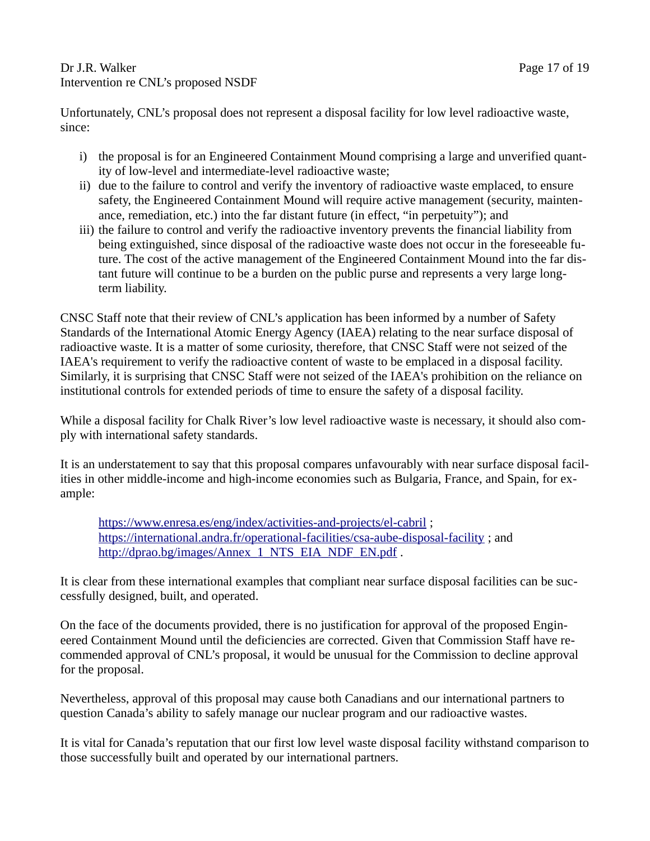Dr J.R. Walker Page 17 of 19 Intervention re CNL's proposed NSDF

Unfortunately, CNL's proposal does not represent a disposal facility for low level radioactive waste, since:

- i) the proposal is for an Engineered Containment Mound comprising a large and unverified quantity of low-level and intermediate-level radioactive waste;
- ii) due to the failure to control and verify the inventory of radioactive waste emplaced, to ensure safety, the Engineered Containment Mound will require active management (security, maintenance, remediation, etc.) into the far distant future (in effect, "in perpetuity"); and
- iii) the failure to control and verify the radioactive inventory prevents the financial liability from being extinguished, since disposal of the radioactive waste does not occur in the foreseeable future. The cost of the active management of the Engineered Containment Mound into the far distant future will continue to be a burden on the public purse and represents a very large longterm liability.

CNSC Staff note that their review of CNL's application has been informed by a number of Safety Standards of the International Atomic Energy Agency (IAEA) relating to the near surface disposal of radioactive waste. It is a matter of some curiosity, therefore, that CNSC Staff were not seized of the IAEA's requirement to verify the radioactive content of waste to be emplaced in a disposal facility. Similarly, it is surprising that CNSC Staff were not seized of the IAEA's prohibition on the reliance on institutional controls for extended periods of time to ensure the safety of a disposal facility.

While a disposal facility for Chalk River's low level radioactive waste is necessary, it should also comply with international safety standards.

It is an understatement to say that this proposal compares unfavourably with near surface disposal facilities in other middle-income and high-income economies such as Bulgaria, France, and Spain, for example:

<https://www.enresa.es/eng/index/activities-and-projects/el-cabril>; <https://international.andra.fr/operational-facilities/csa-aube-disposal-facility>; and [http://dprao.bg/images/Annex\\_1\\_NTS\\_EIA\\_NDF\\_EN.pdf](http://dprao.bg/images/Annex_1_NTS_EIA_NDF_EN.pdf) .

It is clear from these international examples that compliant near surface disposal facilities can be successfully designed, built, and operated.

On the face of the documents provided, there is no justification for approval of the proposed Engineered Containment Mound until the deficiencies are corrected. Given that Commission Staff have recommended approval of CNL's proposal, it would be unusual for the Commission to decline approval for the proposal.

Nevertheless, approval of this proposal may cause both Canadians and our international partners to question Canada's ability to safely manage our nuclear program and our radioactive wastes.

It is vital for Canada's reputation that our first low level waste disposal facility withstand comparison to those successfully built and operated by our international partners.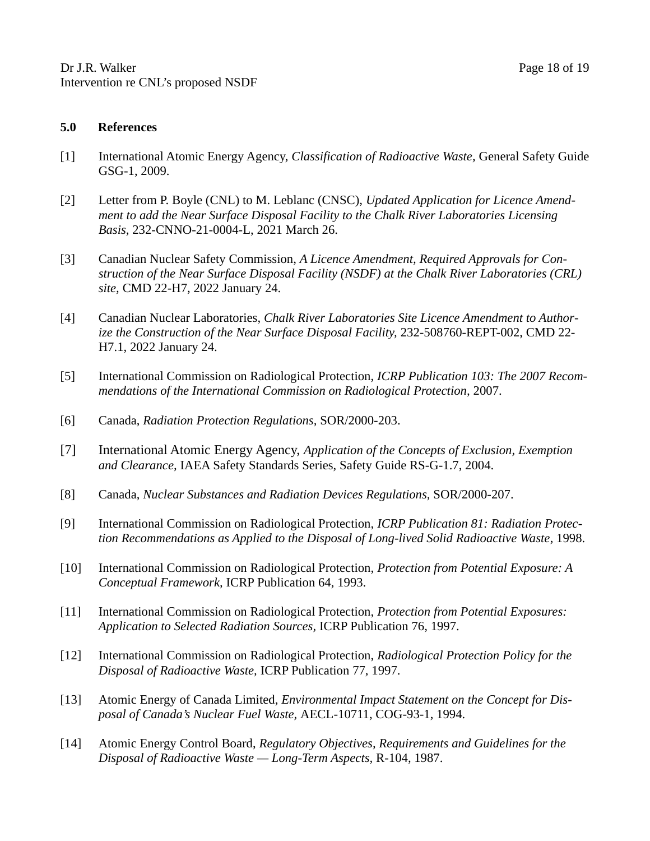- [1] International Atomic Energy Agency, *Classification of Radioactive Waste,* General Safety Guide GSG-1, 2009.
- [2] Letter from P. Boyle (CNL) to M. Leblanc (CNSC), *Updated Application for Licence Amendment to add the Near Surface Disposal Facility to the Chalk River Laboratories Licensing Basis,* 232-CNNO-21-0004-L, 2021 March 26.
- [3] Canadian Nuclear Safety Commission, *A Licence Amendment, Required Approvals for Construction of the Near Surface Disposal Facility (NSDF) at the Chalk River Laboratories (CRL) site,* CMD 22-H7, 2022 January 24.
- [4] Canadian Nuclear Laboratories, *Chalk River Laboratories Site Licence Amendment to Authorize the Construction of the Near Surface Disposal Facility,* 232-508760-REPT-002, CMD 22- H7.1, 2022 January 24.
- [5] International Commission on Radiological Protection, *ICRP Publication 103: The 2007 Recommendations of the International Commission on Radiological Protection, 2007.*
- [6] Canada, *Radiation Protection Regulations,* SOR/2000-203.
- [7] International Atomic Energy Agency, *Application of the Concepts of Exclusion, Exemption and Clearance,* IAEA Safety Standards Series, Safety Guide RS-G-1.7, 2004.
- [8] Canada, *Nuclear Substances and Radiation Devices Regulations,* SOR/2000-207.
- [9] International Commission on Radiological Protection, *ICRP Publication 81: Radiation Protection Recommendations as Applied to the Disposal of Long-lived Solid Radioactive Waste*, 1998.
- [10] International Commission on Radiological Protection, *Protection from Potential Exposure: A Conceptual Framework,* ICRP Publication 64, 1993.
- [11] International Commission on Radiological Protection, *Protection from Potential Exposures: Application to Selected Radiation Sources,* ICRP Publication 76, 1997.
- [12] International Commission on Radiological Protection, *Radiological Protection Policy for the Disposal of Radioactive Waste,* ICRP Publication 77, 1997.
- [13] Atomic Energy of Canada Limited, *Environmental Impact Statement on the Concept for Disposal of Canada's Nuclear Fuel Waste,* AECL-10711, COG-93-1, 1994.
- [14] Atomic Energy Control Board, *Regulatory Objectives, Requirements and Guidelines for the Disposal of Radioactive Waste — Long-Term Aspects,* R-104, 1987.